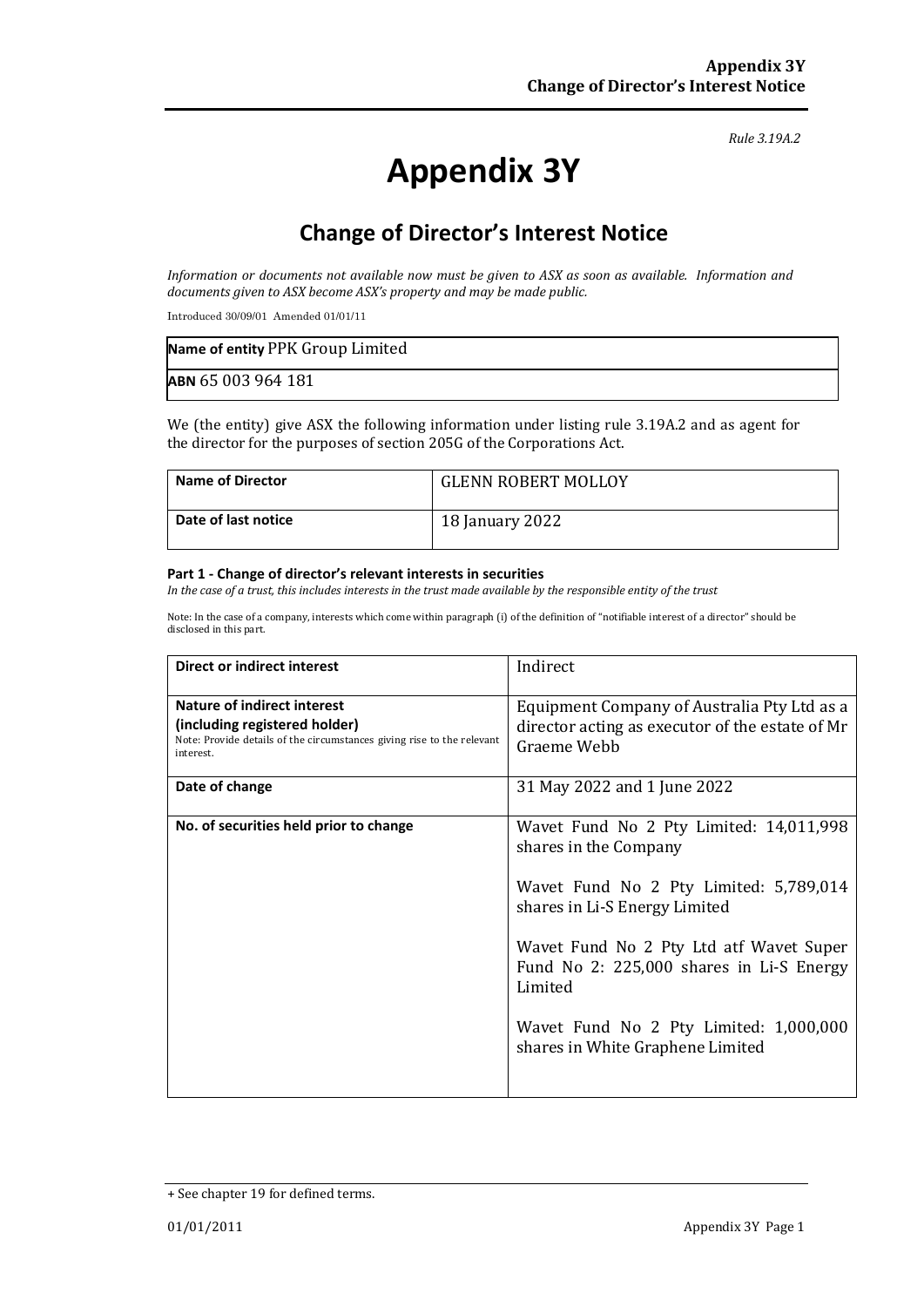#### *Rule 3.19A.2*

# **Appendix 3Y**

# **Change of Director's Interest Notice**

*Information or documents not available now must be given to ASX as soon as available. Information and documents given to ASX become ASX's property and may be made public.*

Introduced 30/09/01 Amended 01/01/11

| Name of entity PPK Group Limited |  |
|----------------------------------|--|
| ABN 65 003 964 181               |  |

We (the entity) give ASX the following information under listing rule 3.19A.2 and as agent for the director for the purposes of section 205G of the Corporations Act.

| <b>Name of Director</b> | <b>GLENN ROBERT MOLLOY</b> |
|-------------------------|----------------------------|
| Date of last notice     | 18 January 2022            |

#### **Part 1 - Change of director's relevant interests in securities**

*In the case of a trust, this includes interests in the trust made available by the responsible entity of the trust*

Note: In the case of a company, interests which come within paragraph (i) of the definition of "notifiable interest of a director" should be disclosed in this part.

| Direct or indirect interest                                                                                                                                | Indirect                                                                                                      |
|------------------------------------------------------------------------------------------------------------------------------------------------------------|---------------------------------------------------------------------------------------------------------------|
| <b>Nature of indirect interest</b><br>(including registered holder)<br>Note: Provide details of the circumstances giving rise to the relevant<br>interest. | Equipment Company of Australia Pty Ltd as a<br>director acting as executor of the estate of Mr<br>Graeme Webb |
| Date of change                                                                                                                                             | 31 May 2022 and 1 June 2022                                                                                   |
| No. of securities held prior to change                                                                                                                     | Wavet Fund No 2 Pty Limited: 14,011,998<br>shares in the Company<br>Wavet Fund No 2 Pty Limited: 5,789,014    |
|                                                                                                                                                            | shares in Li-S Energy Limited                                                                                 |
|                                                                                                                                                            | Wavet Fund No 2 Pty Ltd atf Wavet Super<br>Fund No 2: 225,000 shares in Li-S Energy<br>Limited                |
|                                                                                                                                                            | Wavet Fund No 2 Pty Limited: 1,000,000<br>shares in White Graphene Limited                                    |

<sup>+</sup> See chapter 19 for defined terms.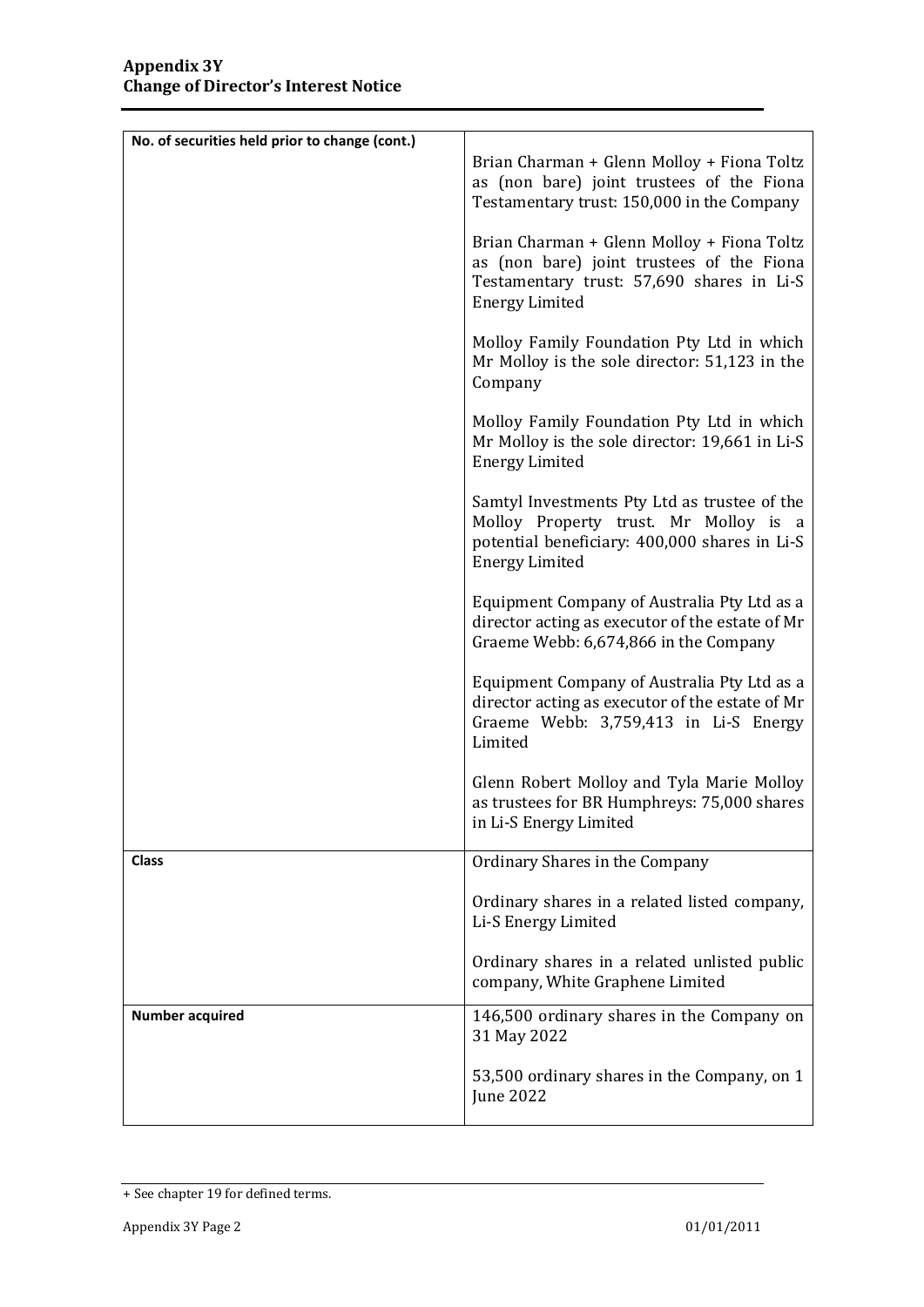| No. of securities held prior to change (cont.) |                                                                                                                                                                 |
|------------------------------------------------|-----------------------------------------------------------------------------------------------------------------------------------------------------------------|
|                                                | Brian Charman + Glenn Molloy + Fiona Toltz<br>as (non bare) joint trustees of the Fiona<br>Testamentary trust: 150,000 in the Company                           |
|                                                | Brian Charman + Glenn Molloy + Fiona Toltz<br>as (non bare) joint trustees of the Fiona<br>Testamentary trust: 57,690 shares in Li-S<br><b>Energy Limited</b>   |
|                                                | Molloy Family Foundation Pty Ltd in which<br>Mr Molloy is the sole director: 51,123 in the<br>Company                                                           |
|                                                | Molloy Family Foundation Pty Ltd in which<br>Mr Molloy is the sole director: 19,661 in Li-S<br><b>Energy Limited</b>                                            |
|                                                | Samtyl Investments Pty Ltd as trustee of the<br>Molloy Property trust. Mr Molloy is a<br>potential beneficiary: 400,000 shares in Li-S<br><b>Energy Limited</b> |
|                                                | Equipment Company of Australia Pty Ltd as a<br>director acting as executor of the estate of Mr<br>Graeme Webb: 6,674,866 in the Company                         |
|                                                | Equipment Company of Australia Pty Ltd as a<br>director acting as executor of the estate of Mr<br>Graeme Webb: 3,759,413 in Li-S Energy<br>Limited              |
|                                                | Glenn Robert Molloy and Tyla Marie Molloy<br>as trustees for BR Humphreys: 75,000 shares<br>in Li-S Energy Limited                                              |
| <b>Class</b>                                   | Ordinary Shares in the Company                                                                                                                                  |
|                                                | Ordinary shares in a related listed company,<br>Li-S Energy Limited                                                                                             |
|                                                | Ordinary shares in a related unlisted public<br>company, White Graphene Limited                                                                                 |
| <b>Number acquired</b>                         | 146,500 ordinary shares in the Company on<br>31 May 2022                                                                                                        |
|                                                | 53,500 ordinary shares in the Company, on 1<br>June 2022                                                                                                        |

<sup>+</sup> See chapter 19 for defined terms.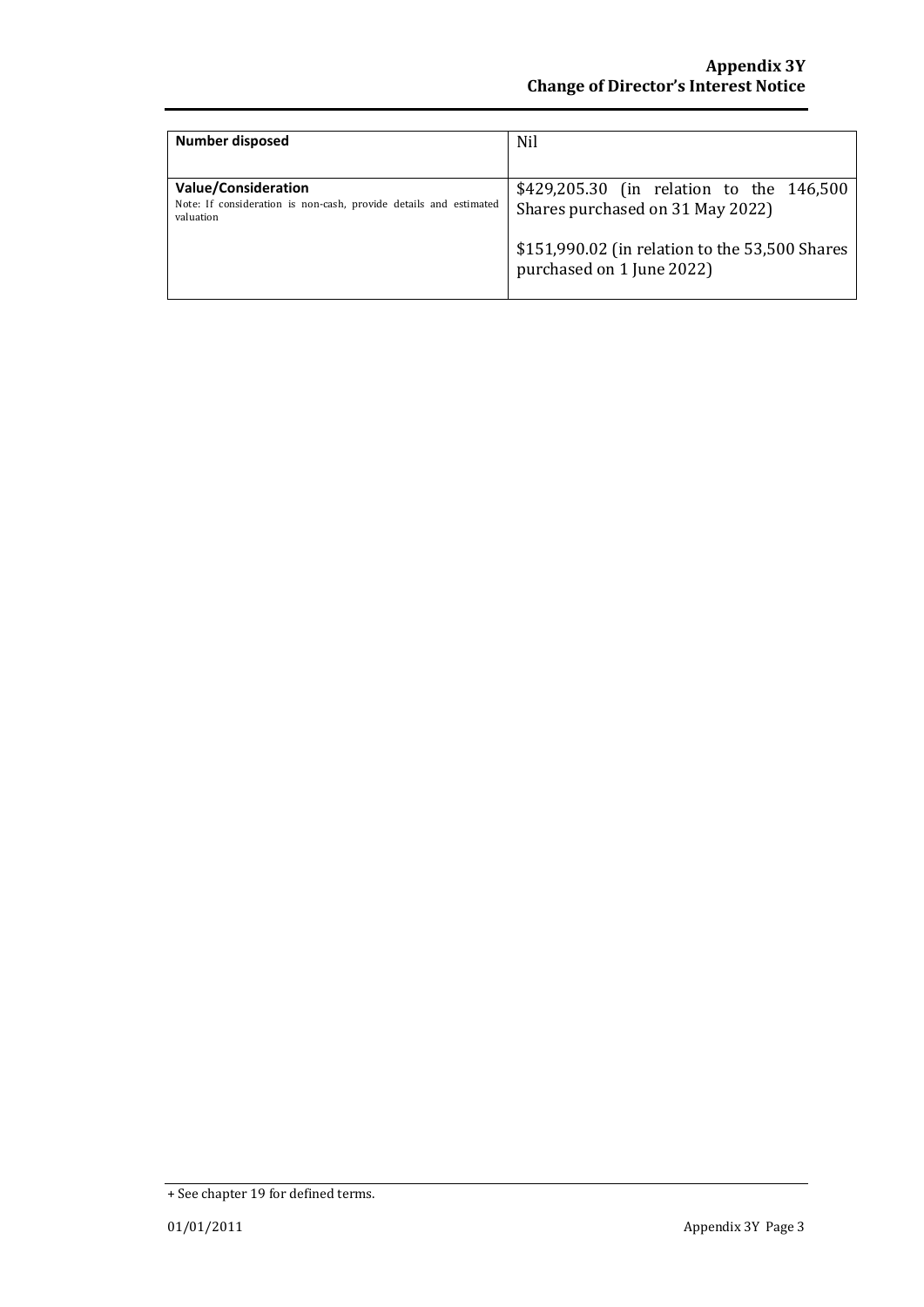| Number disposed                                                                                              | Nil                                                                                                                                                         |
|--------------------------------------------------------------------------------------------------------------|-------------------------------------------------------------------------------------------------------------------------------------------------------------|
| <b>Value/Consideration</b><br>Note: If consideration is non-cash, provide details and estimated<br>valuation | \$429,205.30 (in relation to the 146,500<br>Shares purchased on 31 May 2022)<br>\$151,990.02 (in relation to the 53,500 Shares<br>purchased on 1 June 2022) |

<sup>+</sup> See chapter 19 for defined terms.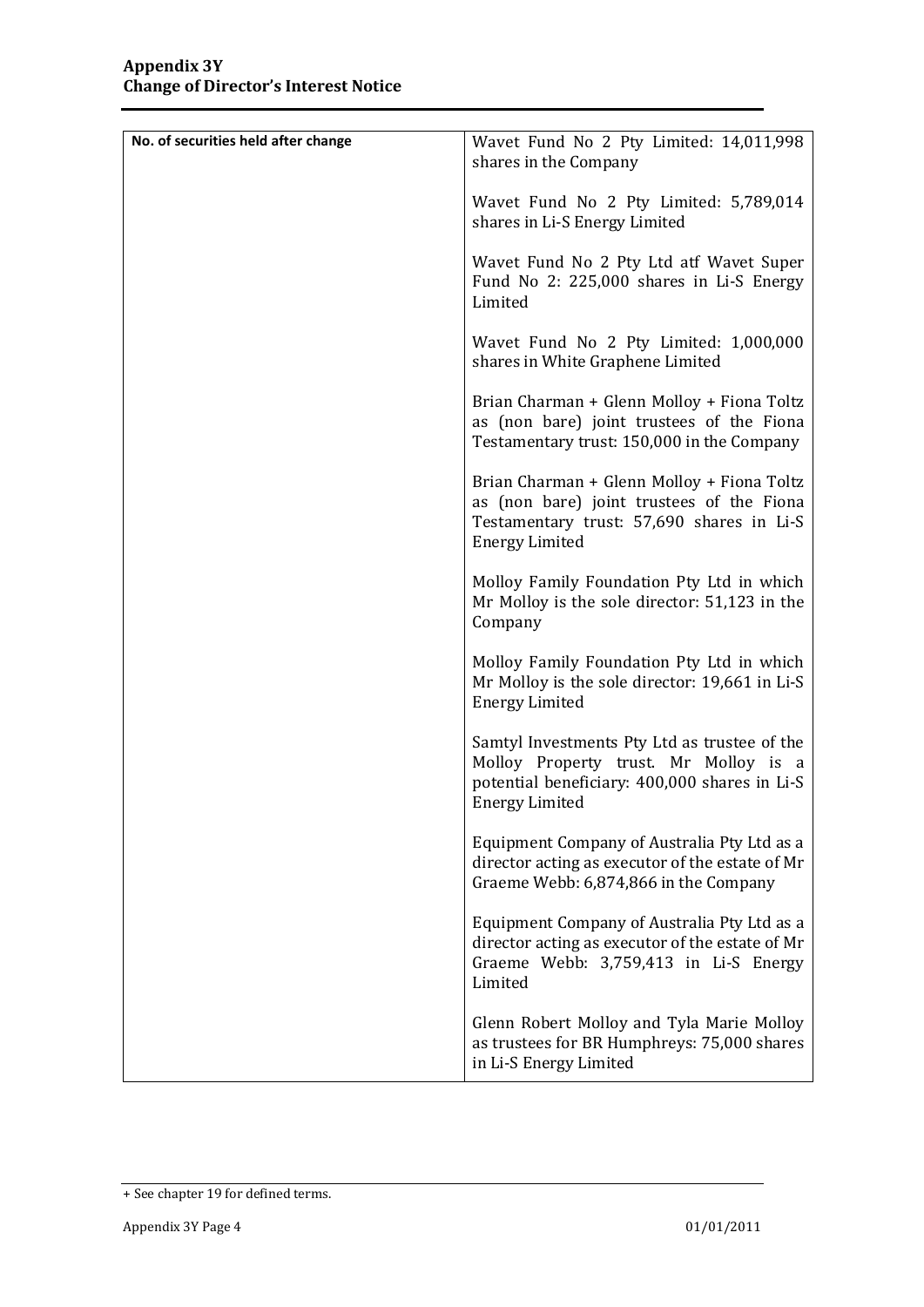| No. of securities held after change | Wavet Fund No 2 Pty Limited: 14,011,998<br>shares in the Company                                                                                                |
|-------------------------------------|-----------------------------------------------------------------------------------------------------------------------------------------------------------------|
|                                     | Wavet Fund No 2 Pty Limited: 5,789,014<br>shares in Li-S Energy Limited                                                                                         |
|                                     | Wavet Fund No 2 Pty Ltd atf Wavet Super<br>Fund No 2: 225,000 shares in Li-S Energy<br>Limited                                                                  |
|                                     | Wavet Fund No 2 Pty Limited: 1,000,000<br>shares in White Graphene Limited                                                                                      |
|                                     | Brian Charman + Glenn Molloy + Fiona Toltz<br>as (non bare) joint trustees of the Fiona<br>Testamentary trust: 150,000 in the Company                           |
|                                     | Brian Charman + Glenn Molloy + Fiona Toltz<br>as (non bare) joint trustees of the Fiona<br>Testamentary trust: 57,690 shares in Li-S<br><b>Energy Limited</b>   |
|                                     | Molloy Family Foundation Pty Ltd in which<br>Mr Molloy is the sole director: 51,123 in the<br>Company                                                           |
|                                     | Molloy Family Foundation Pty Ltd in which<br>Mr Molloy is the sole director: 19,661 in Li-S<br><b>Energy Limited</b>                                            |
|                                     | Samtyl Investments Pty Ltd as trustee of the<br>Molloy Property trust. Mr Molloy is a<br>potential beneficiary: 400,000 shares in Li-S<br><b>Energy Limited</b> |
|                                     | Equipment Company of Australia Pty Ltd as a<br>director acting as executor of the estate of Mr<br>Graeme Webb: 6,874,866 in the Company                         |
|                                     | Equipment Company of Australia Pty Ltd as a<br>director acting as executor of the estate of Mr<br>Graeme Webb: 3,759,413 in Li-S Energy<br>Limited              |
|                                     | Glenn Robert Molloy and Tyla Marie Molloy<br>as trustees for BR Humphreys: 75,000 shares<br>in Li-S Energy Limited                                              |

<sup>+</sup> See chapter 19 for defined terms.